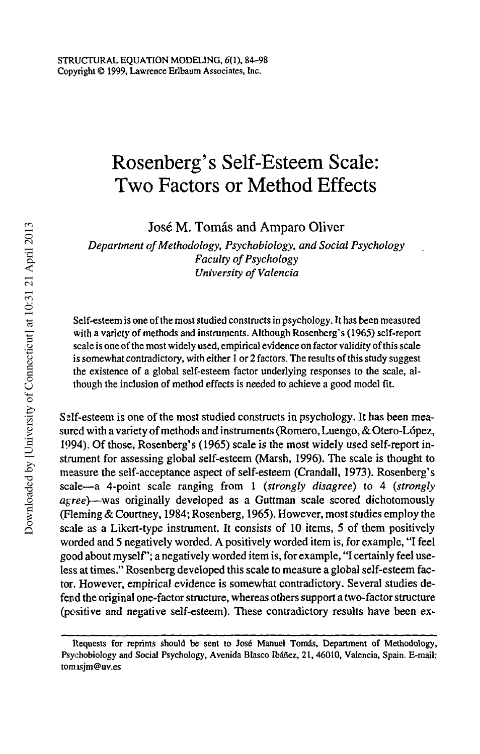# Rosenberg's Self-Esteem Scale: Two Factors or Method Effects

José M. Tomás and Amparo Oliver

*Department of Methodology, Psychobiology, and Social Psychology Faculty of Psychology University of Valencia*

Self-esteem is one of the most studied constructs in psychology. It has been measured with a variety of methods and instruments. Although Rosenberg's (1965) self-report scale is one of the most widely used, empirical evidence on factor validity of this scale is somewhat contradictory, with either 1 or 2 factors. The results of this study suggest the existence of a global self-esteem factor underlying responses to the scale, although the inclusion of method effects is needed to achieve a good model fit.

Self-esteem is one of the most studied constructs in psychology. It has been measured with a variety of methods and instruments (Romero, Luengo, & Otero-L6pez, 1094). Of those, Rosenberg's (1965) scale is the most widely used self-report instrument for assessing global self-esteem (Marsh, 1996). The scale is thought to measure the self-acceptance aspect of self-esteem (Crandall, 1973). Rosenberg's scale—a 4-point scale ranging from 1 *{strongly disagree)* to 4 *{strongly agree)*—was originally developed as a Guttman scale scored dichotomously (Fleming & Courtney, 1984; Rosenberg, 1965). However, most studies employ the scale as a Likert-type instrument. It consists of 10 items, 5 of them positively worded and 5 negatively worded. A positively worded item is, for example, "I feel good about myself"; a negatively worded item is, for example, "I certainly feel useless at times." Rosenberg developed this scale to measure a global self-esteem factor. However, empirical evidence is somewhat contradictory. Several studies defend the original one-factor structure, whereas others support a two-factor structure (positive and negative self-esteem). These contradictory results have been ex-

Requests for reprints should be sent to José Manuel Tomás, Department of Methodology, Psychobiology and Social Psychology, Avenida Blasco Ibáñez, 21, 46010, Valencia, Spain. E-mail: tomasjm@uv.es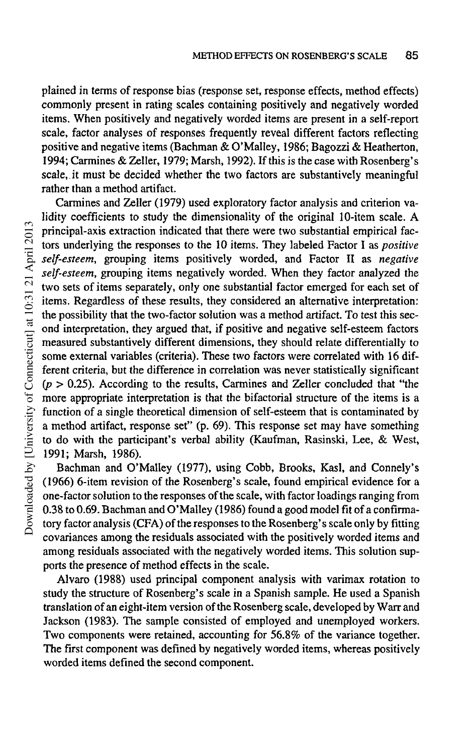plained in terms of response bias (response set, response effects, method effects) commonly present in rating scales containing positively and negatively worded items. When positively and negatively worded items are present in a self-report scale, factor analyses of responses frequently reveal different factors reflecting positive and negative items (Bachman & O'Malley, 1986; Bagozzi & Heatherton, 1994; Carmines & Zeller, 1979; Marsh, 1992). If this is the case with Rosenberg's scale, it must be decided whether the two factors are substantively meaningful rather than a method artifact.

Carmines and Zeller (1979) used exploratory factor analysis and criterion validity coefficients to study the dimensionality of the original 10-item scale. A principal-axis extraction indicated that there were two substantial empirical factors underlying the responses to the 10 items. They labeled Factor I as *positive self-esteem,* grouping items positively worded, and Factor II as *negative self-esteem,* grouping items negatively worded. When they factor analyzed the two sets of items separately, only one substantial factor emerged for each set of items. Regardless of these results, they considered an alternative interpretation: the possibility that the two-factor solution was a method artifact. To test this second interpretation, they argued that, if positive and negative self-esteem factors measured substantively different dimensions, they should relate differentially to some external variables (criteria). These two factors were correlated with 16 different criteria, but the difference in correlation was never statistically significant *(p >* 0.25). According to the results, Carmines and Zeller concluded that "the more appropriate interpretation is that the bifactorial structure of the items is a function of a single theoretical dimension of self-esteem that is contaminated by a method artifact, response set" (p. 69). This response set may have something to do with the participant's verbal ability (Kaufman, Rasinski, Lee, & West, 1991; Marsh, 1986).

Bachman and O'Malley (1977), using Cobb, Brooks, Kasl, and Connely's (1966) 6-item revision of the Rosenberg's scale, found empirical evidence for a one-factor solution to the responses of the scale, with factor loadings ranging from 0.38 to 0.69. Bachman and O'Malley (1986) found a good model fit of a confirmatory factor analysis (CFA) of the responses to the Rosenberg's scale only by fitting covariances among the residuals associated with the positively worded items and among residuals associated with the negatively worded items. This solution supports the presence of method effects in the scale.

Alvaro (1988) used principal component analysis with varimax rotation to study the structure of Rosenberg's scale in a Spanish sample. He used a Spanish translation of an eight-item version of the Rosenberg scale, developed by Warr and Jackson (1983). The sample consisted of employed and unemployed workers. Two components were retained, accounting for 56.8% of the variance together. The first component was defined by negatively worded items, whereas positively worded items defined the second component.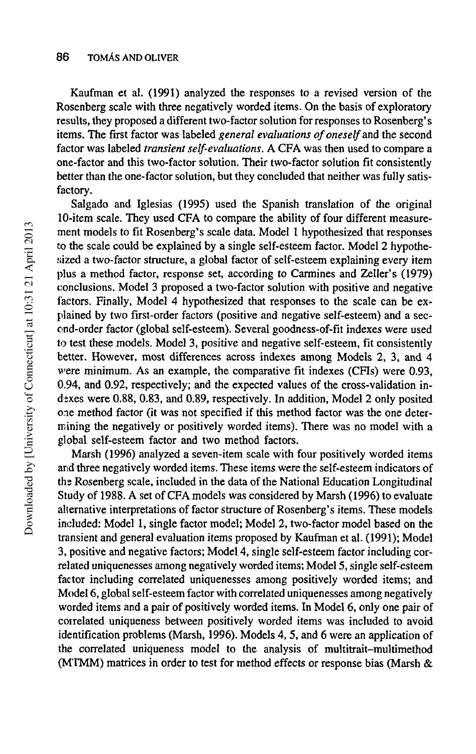Kaufman et al. (1991) analyzed the responses to a revised version of the Rosenberg scale with three negatively worded items. On the basis of exploratory results, they proposed a different two-factor solution for responses to Rosenberg's items. The first factor was labeled *general evaluations of oneself and* the second factor was labeled *transient self-evaluations.* A CFA was then used to compare a one-factor and this two-factor solution. Their two-factor solution fit consistently better than the one-factor solution, but they concluded that neither was fully satisfactory.

Salgado and Iglesias (1995) used the Spanish translation of the original 10-item scale. They used CFA to compare the ability of four different measurement models to fit Rosenberg's scale data. Model 1 hypothesized that responses to the scale could be explained by a single self-esteem factor. Model 2 hypothesized a two-factor structure, a global factor of self-esteem explaining every item plus a method factor, response set, according to Carmines and Zeller's (1979) conclusions. Model 3 proposed a two-factor solution with positive and negative factors. Finally, Model 4 hypothesized that responses to the scale can be explained by two first-order factors (positive and negative self-esteem) and a second-order factor (global self-esteem). Several goodness-of-fit indexes were used to test these models. Model 3, positive and negative self-esteem, fit consistently better. However, most differences across indexes among Models 2, 3, and 4 were minimum. As an example, the comparative fit indexes (CFIs) were 0.93, 0.94, and 0.92, respectively; and the expected values of the cross-validation indexes were 0.88, 0.83, and 0.89, respectively. In addition, Model 2 only posited one method factor (it was not specified if this method factor was the one determining the negatively or positively worded items). There was no model with a global self-esteem factor and two method factors.

Marsh (1996) analyzed a seven-item scale with four positively worded items and three negatively worded items. These items were the self-esteem indicators of ths Rosenberg scale, included in the data of the National Education Longitudinal Study of 1988. A set of CFA models was considered by Marsh (1996) to evaluate aliernative interpretations of factor structure of Rosenberg's items. These models included: Model 1, single factor model; Model 2, two-factor model based on the transient and general evaluation items proposed by Kaufman et al. (1991); Model 3, positive and negative factors; Model 4, single self-esteem factor including correlated uniquenesses among negatively worded items; Model 5, single self-esteem factor including correlated uniquenesses among positively worded items; and Model 6, global self-esteem factor with correlated uniquenesses among negatively worded items and a pair of positively worded items. In Model 6, only one pair of coirelated uniqueness between positively worded items was included to avoid identification problems (Marsh, 1996). Models 4, 5, and 6 were an application of the correlated uniqueness model to the analysis of multitrait-multimethod (MTMM) matrices in order to test for method effects or response bias (Marsh &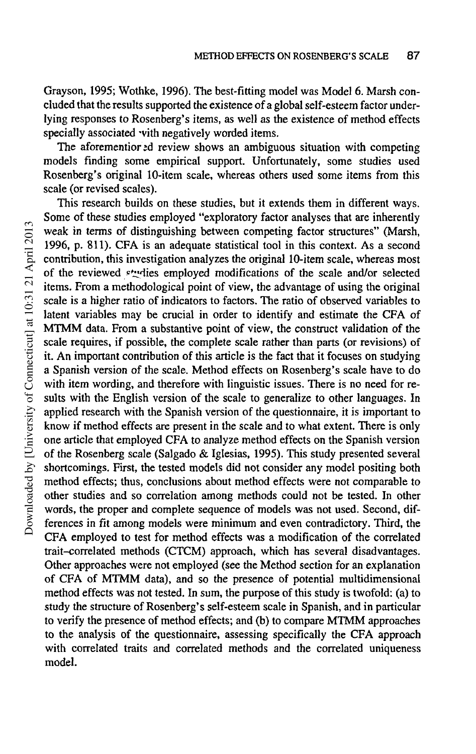Grayson, 1995; Wothke, 1996). The best-fitting model was Model 6. Marsh concluded that the results supported the existence of a global self-esteem factor underlying responses to Rosenberg's items, as well as the existence of method effects specially associated -vith negatively worded items.

The aforementior ed review shows an ambiguous situation with competing models finding some empirical support. Unfortunately, some studies used Rosenberg's original 10-item scale, whereas others used some items from this scale (or revised scales).

This research builds on these studies, but it extends them in different ways. Some of these studies employed "exploratory factor analyses that are inherently weak in terms of distinguishing between competing factor structures" (Marsh, 1996, p. 811). CFA is an adequate statistical tool in this context. As a second contribution, this investigation analyzes the original 10-item scale, whereas most of the reviewed studies employed modifications of the scale and/or selected items. From a methodological point of view, the advantage of using the original scale is a higher ratio of indicators to factors. The ratio of observed variables to latent variables may be crucial in order to identify and estimate the CFA of MTMM data. From a substantive point of view, the construct validation of the scale requires, if possible, the complete scale rather than parts (or revisions) of it. An important contribution of this article is the fact that it focuses on studying a Spanish version of the scale. Method effects on Rosenberg's scale have to do with item wording, and therefore with linguistic issues. There is no need for results with the English version of the scale to generalize to other languages. In applied research with the Spanish version of the questionnaire, it is important to know if method effects are present in the scale and to what extent. There is only one article that employed CFA to analyze method effects on the Spanish version of the Rosenberg scale (Salgado & Iglesias, 1995). This study presented several shortcomings. First, the tested models did not consider any model positing both method effects; thus, conclusions about method effects were not comparable to other studies and so correlation among methods could not be tested. In other words, the proper and complete sequence of models was not used. Second, differences in fit among models were minimum and even contradictory. Third, the CFA employed to test for method effects was a modification of the correlated trait-correlated methods (CTCM) approach, which has several disadvantages. Other approaches were not employed (see the Method section for an explanation of CFA of MTMM data), and so the presence of potential multidimensional method effects was not tested. In sum, the purpose of this study is twofold: (a) to study the structure of Rosenberg's self-esteem scale in Spanish, and in particular to verify the presence of method effects; and (b) to compare MTMM approaches to the analysis of the questionnaire, assessing specifically the CFA approach with correlated traits and correlated methods and the correlated uniqueness model.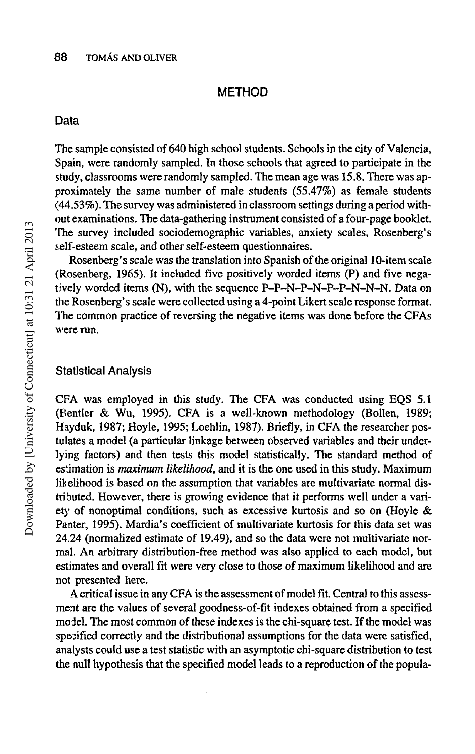## **METHOD**

#### Data

The sample consisted of 640 high school students. Schools in the city of Valencia, Spain, were randomly sampled. In those schools that agreed to participate in the study, classrooms were randomly sampled. The mean age was 15.8. There was approximately the same number of male students (55.47%) as female students (44.53%). The survey was administered in classroom settings during a period without examinations. The data-gathering instrument consisted of a four-page booklet. The survey included sociodemographic variables, anxiety scales, Rosenberg's self-esteem scale, and other self-esteem questionnaires.

Rosenberg's scale was the translation into Spanish of the original 10-item scale (Rosenberg, 1965). It included five positively worded items (P) and five negatively worded items (N), with the sequence P-P-N-P-N-P-P-N-N-N. Data on the Rosenberg's scale were collected using a 4-point Likert scale response format. The common practice of reversing the negative items was done before the CFAs were run.

# Statistical Analysis

CFA was employed in this study. The CFA was conducted using EQS 5.1 (Bentler & Wu, 1995). CFA is a well-known methodology (Bollen, 1989; Hayduk, 1987; Hoyle, 1995; Loehlin, 1987). Briefly, in CFA the researcher postulates a model (a particular linkage between observed variables and their underlying factors) and then tests this model statistically. The standard method of estimation is *maximum likelihood,* and it is the one used in this study. Maximum likelihood is based on the assumption that variables are multivariate normal distributed. However, there is growing evidence that it performs well under a variety of nonoptimal conditions, such as excessive kurtosis and so on (Hoyle & Panter, 1995). Mardia's coefficient of multivariate kurtosis for this data set was 24.24 (normalized estimate of 19.49), and so the data were not multivariate normal. An arbitrary distribution-free method was also applied to each model, but estimates and overall fit were very close to those of maximum likelihood and are not presented here.

A critical issue in any CFA is the assessment of model fit. Central to this assessment are the values of several goodness-of-fit indexes obtained from a specified model. The most common of these indexes is the chi-square test. If the model was specified correctly and the distributional assumptions for the data were satisfied, analysts could use a test statistic with an asymptotic chi-square distribution to test the null hypothesis that the specified model leads to a reproduction of the popula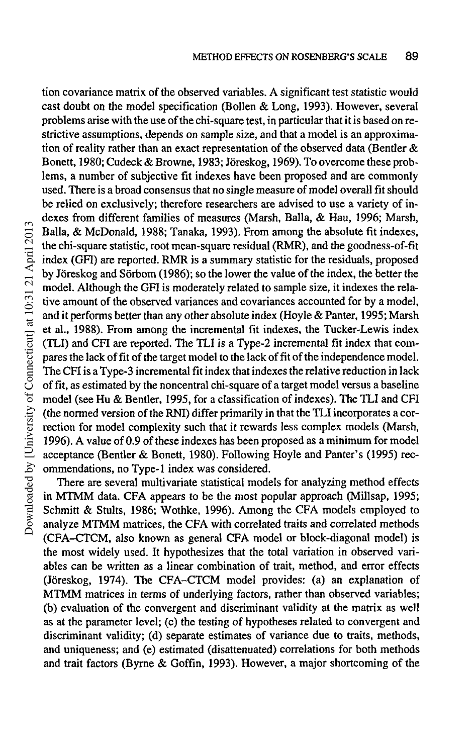tion covariance matrix of the observed variables. A significant test statistic would cast doubt on the model specification (Bollen & Long, 1993). However, several problems arise with the use of the chi-square test, in particular that it is based on restrictive assumptions, depends on sample size, and that a model is an approximation of reality rather than an exact representation of the observed data (Bender & Bonett, 1980; Cudeck & Browne, 1983; Joreskog, 1969). To overcome these problems, a number of subjective fit indexes have been proposed and are commonly used. There is a broad consensus that no single measure of model overall fit should be relied on exclusively; therefore researchers are advised to use a variety of indexes from different families of measures (Marsh, Balla, & Hau, 1996; Marsh, Balla, & McDonald, 1988; Tanaka, 1993). From among the absolute fit indexes, the chi-square statistic, root mean-square residual (RMR), and the goodness-of-fit index (GH) are reported. RMR is a summary statistic for the residuals, proposed by Joreskog and Sorbom (1986); so the lower the value of the index, the better the model. Although the GFI is moderately related to sample size, it indexes the relative amount of the observed variances and covariances accounted for by a model, and it performs better than any other absolute index (Hoyle & Panter, 1995; Marsh et al., 1988). From among the incremental fit indexes, the Tucker-Lewis index (TLI) and CFI are reported. The TLI is a Type-2 incremental fit index that compares the lack of fit of the target model to the lack of fit of the independence model. The CFI is a Type-3 incremental fit index that indexes the relative reduction in lack of fit, as estimated by the noncentral chi-square of a target model versus a baseline model (see Hu & Bentler, 1995, for a classification of indexes). The TLI and CFI (the normed version of the RNI) differ primarily in that the TLI incorporates a correction for model complexity such that it rewards less complex models (Marsh, 1996). A value of 0.9 of these indexes has been proposed as a minimum for model acceptance (Bentler & Bonett, 1980). Following Hoyle and Panter's (1995) recommendations, no Type-1 index was considered.

There are several multivariate statistical models for analyzing method effects in MTMM data. CFA appears to be the most popular approach (Millsap, 1995; Schmitt & Stults, 1986; Wothke, 1996). Among the CFA models employed to analyze MTMM matrices, the CFA with correlated traits and correlated methods (CFA-CTCM, also known as general CFA model or block-diagonal model) is the most widely used. It hypothesizes that the total variation in observed variables can be written as a linear combination of trait, method, and error effects (Joreskog, 1974). The CFA-CTCM model provides: (a) an explanation of MTMM matrices in terms of underlying factors, rather than observed variables; (b) evaluation of the convergent and discriminant validity at the matrix as well as at the parameter level; (c) the testing of hypotheses related to convergent and discriminant validity; (d) separate estimates of variance due to traits, methods, and uniqueness; and (e) estimated (disattenuated) correlations for both methods and trait factors (Byrne & Goffin, 1993). However, a major shortcoming of the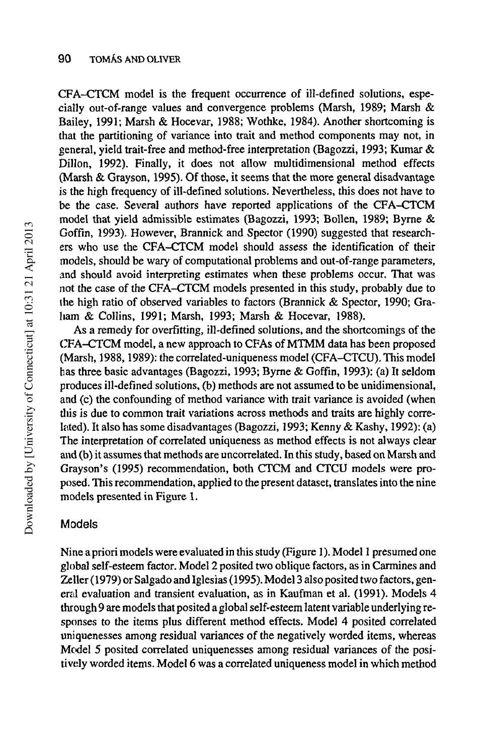CFA-CTCM model is the frequent occurrence of ill-defined solutions, especially out-of-range values and convergence problems (Marsh, 1989; Marsh & Bailey, 1991; Marsh & Hocevar, 1988; Wothke, 1984). Another shortcoming is that the partitioning of variance into trait and method components may not, in general, yield trait-free and method-free interpretation (Bagozzi, 1993; Kumar & Dillon, 1992). Finally, it does not allow multidimensional method effects (Marsh & Grayson, 1995). Of those, it seems that the more general disadvantage is the high frequency of ill-defined solutions. Nevertheless, this does not have to be the case. Several authors have reported applications of the CFA-CTCM model that yield admissible estimates (Bagozzi, 1993; Bollen, 1989; Byrne & Goffin, 1993). However, Brannick and Spector (1990) suggested that researchers who use the CFA-CTCM model should assess the identification of their models, should be wary of computational problems and out-of-range parameters, and should avoid interpreting estimates when these problems occur. That was not the case of the CFA-CTCM models presented in this study, probably due to the high ratio of observed variables to factors (Brannick & Spector, 1990; Graham & Collins, 1991; Marsh, 1993; Marsh & Hocevar, 1988).

As a remedy for overfitting, ill-defined solutions, and the shortcomings of the CFA-CTCM model, a new approach to CFAs of MTMM data has been proposed (Marsh, 1988, 1989): the correlated-uniqueness model (CFA-CTCU). This model has three basic advantages (Bagozzi, 1993; Byrne & Goffin, 1993): (a) It seldom produces ill-defined solutions, (b) methods are not assumed to be unidimensional, and (c) the confounding of method variance with trait variance is avoided (when this is due to common trait variations across methods and traits are highly correlated). It also has some disadvantages (Bagozzi, 1993; Kenny & Kashy, 1992): (a) The interpretation of correlated uniqueness as method effects is not always clear and (b) it assumes that methods are uncorrelated. In this study, based on Marsh and Grayson's (1995) recommendation, both CTCM and CTCU models were proposed. This recommendation, applied to the present dataset, translates into the nine models presented in Figure 1.

## Models

Nine a priori models were evaluated in this study (Figure 1). Model 1 presumed one global self-esteem factor. Model 2 posited two oblique factors, as in Carmines and Zeller (1979) or Salgado and Iglesias (1995). Model 3 also posited two factors, general evaluation and transient evaluation, as in Kaufman et al. (1991). Models 4 through 9 are models that posited a global self-esteem latent variable underlying responses to the items plus different method effects. Model 4 posited correlated uniquenesses among residual variances of the negatively worded items, whereas Model 5 posited correlated uniquenesses among residual variances of the positively worded items. Model 6 was a correlated uniqueness model in which method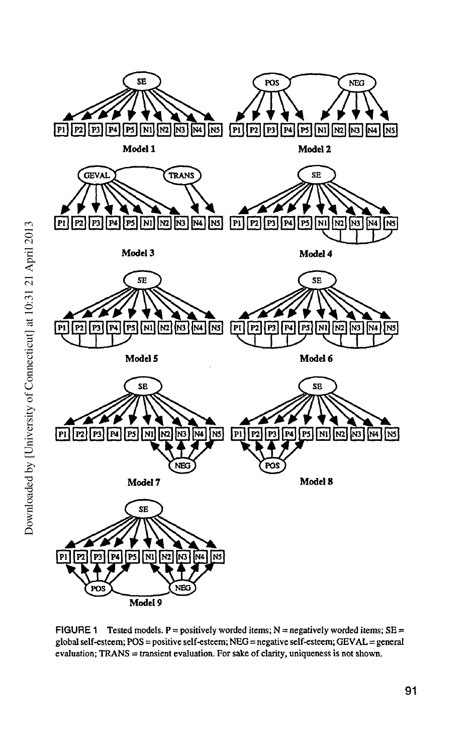

**FIGURE 1** Tested models. P = positively worded items; N = negatively worded items; SE = global self-esteem;  $POS = positive$  self-esteem;  $NEG = negative$  self-esteem;  $GEVAL = general$ evaluation; TRANS = transient evaluation. For sake of clarity, uniqueness is not shown.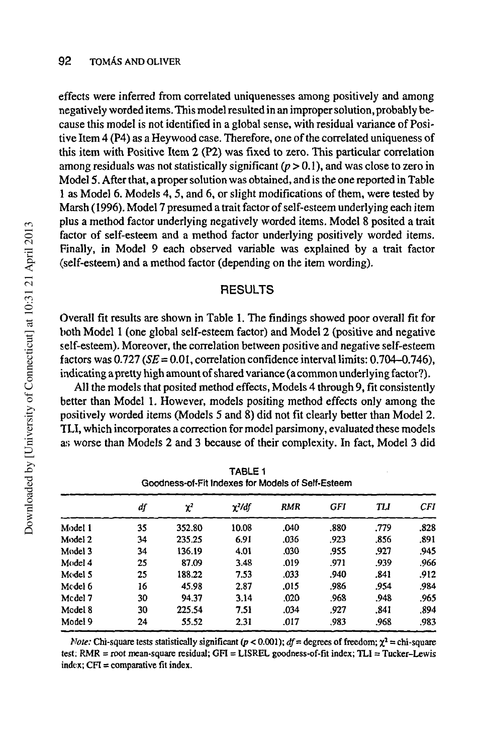effects were inferred from correlated uniquenesses among positively and among negatively worded items. This model resulted in an improper solution, probably because this model is not identified in a global sense, with residual variance of Positive Item 4 (P4) as a Heywood case. Therefore, one of the correlated uniqueness of this item with Positive Item 2 (P2) was fixed to zero. This particular correlation among residuals was not statistically significant *(p >* 0.1), and was close to zero in Model 5. After that, a proper solution was obtained, and is the one reported in Table 1 as Model 6. Models 4, 5, and 6, or slight modifications of them, were tested by Marsh (1996). Model 7 presumed a trait factor of self-esteem underlying each item plus a method factor underlying negatively worded items. Model 8 posited a trait factor of self-esteem and a method factor underlying positively worded items. Finally, in Model 9 each observed variable was explained by a trait factor (self-esteem) and a method factor (depending on the item wording).

## **RESULTS**

Overall fit results are shown in Table 1. The findings showed poor overall fit for both Model 1 (one global self-esteem factor) and Model 2 (positive and negative self-esteem). Moreover, the correlation between positive and negative self-esteem factors was 0.727 *(SE*=0.01, correlation confidence interval limits: 0.704-0.746), indicating a pretty high amount of shared variance (a common underlying factor?).

All the models that posited method effects, Models 4 through 9, fit consistently better than Model 1. However, models positing method effects only among the positively worded items (Models 5 and 8) did not fit clearly better than Model 2. TLI, which incorporates a correction for model parsimony, evaluated these models a:; worse than Models 2 and 3 because of their complexity. In fact, Model 3 did

| <b>TABLE 1</b><br>Goodness-of-Fit Indexes for Models of Self-Esteem |    |          |              |            |            |      |            |
|---------------------------------------------------------------------|----|----------|--------------|------------|------------|------|------------|
|                                                                     | df | $\chi^2$ | $\chi^2$ /df | <b>RMR</b> | <b>GFI</b> | TIJ  | <b>CFI</b> |
| Model 1                                                             | 35 | 352.80   | 10.08        | .040       | .880       | .779 | .828       |
| Model 2                                                             | 34 | 235.25   | 6.91         | .036       | .923       | .856 | .891       |
| Model 3                                                             | 34 | 136.19   | 4.01         | .030       | .955       | .927 | .945       |
| Model 4                                                             | 25 | 87.09    | 3.48         | .019       | .971       | .939 | .966       |
| Model 5                                                             | 25 | 188.22   | 7.53         | .033       | .940       | .841 | .912       |
| Model 6                                                             | 16 | 45.98    | 2.87         | .015       | .986       | .954 | .984       |
| Mcdel 7                                                             | 30 | 94.37    | 3.14         | .020       | .968       | .948 | .965       |
| Model 8                                                             | 30 | 225.54   | 7.51         | .034       | .927       | .841 | .894       |
| Model 9                                                             | 24 | 55.52    | 2.31         | .017       | .983       | .968 | .983       |

*Note:* Chi-square tests statistically significant ( $p < 0.001$ );  $df =$  degrees of freedom;  $\chi^2 =$ chi-square test; RMR = root mean-square residual; GFI = LISREL goodness-of-fit index; TLI = Tucker-Lewis  $index$ ; CFI = comparative fit index.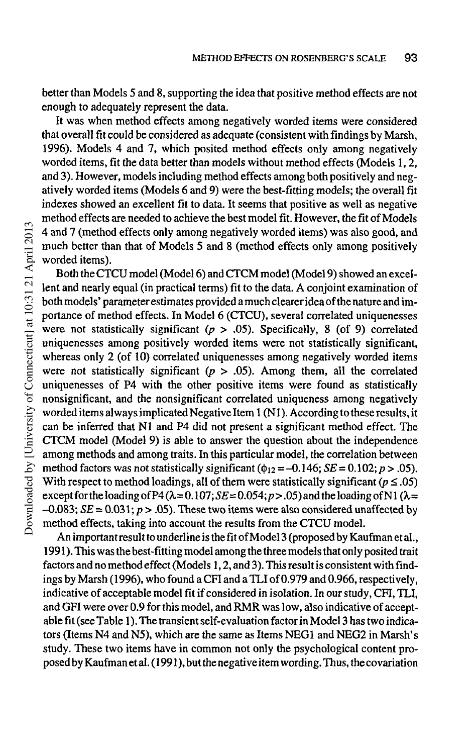better than Models 5 and 8, supporting the idea that positive method effects are not enough to adequately represent the data.

It was when method effects among negatively worded items were considered that overall fit could be considered as adequate (consistent with findings by Marsh, 1996). Models 4 and 7, which posited method effects only among negatively worded items, fit the data better than models without method effects (Models 1,2, and 3). However, models including method effects among both positively and negatively worded items (Models 6 and 9) were the best-fitting models; the overall fit indexes showed an excellent fit to data. It seems that positive as well as negative method effects are needed to achieve the best model fit. However, the fit of Models 4 and 7 (method effects only among negatively worded items) was also good, and much better than that of Models 5 and 8 (method effects only among positively worded items).

Both the CTCU model (Model 6) and CTCM model (Model 9) showed an excellent and nearly equal (in practical terms) fit to the data. A conjoint examination of both models' parameter estimates provided a much clearer idea of the nature and importance of method effects. In Model 6 (CTCU), several correlated uniquenesses were not statistically significant  $(p > .05)$ . Specifically, 8 (of 9) correlated uniquenesses among positively worded items were not statistically significant, whereas only 2 (of 10) correlated uniquenesses among negatively worded items were not statistically significant *(p >* .05). Among them, all the correlated uniquenesses of P4 with the other positive items were found as statistically nonsignificant, and the nonsignificant correlated uniqueness among negatively worded items always implicated Negative Item 1 (N1). According to these results, it can be inferred that Nl and P4 did not present a significant method effect. The CTCM model (Model 9) is able to answer the question about the independence among methods and among traits. In this particular model, the correlation between method factors was not statistically significant ( $\phi_{12} = -0.146$ ; *SE* = 0.102; *p* > .05). With respect to method loadings, all of them were statistically significant  $(p \le 0.05)$ except for the loading of P4 ( $\lambda$ =0.107; SE = 0.054; p > .05) and the loading of N1 ( $\lambda$ =  $-0.083$ ;  $SE = 0.031$ ;  $p > .05$ ). These two items were also considered unaffected by method effects, taking into account the results from the CTCU model.

An important result to underline is the fit of Model 3 (proposed by Kaufman et al., 1991). This was the best-fitting model among the three models that only posited trait factors and no method effect (Models 1,2, and 3). This result is consistent with findings by Marsh (1996), who found a CFI and a TLI of 0.979 and 0.966, respectively, indicative of acceptable model fit if considered in isolation. In our study, CFI, TLI, and GFI were over 0.9 for this model, and RMR was low, also indicative of acceptable fit (see Table 1). The transient self-evaluation factor in Model 3 has two indicators (Items N4 and N5), which are the same as Items NEG1 and NEG2 in Marsh's study. These two items have in common not only the psychological content proposed by Kaufman et al. (1991), but the negative item wording. Thus, the covariation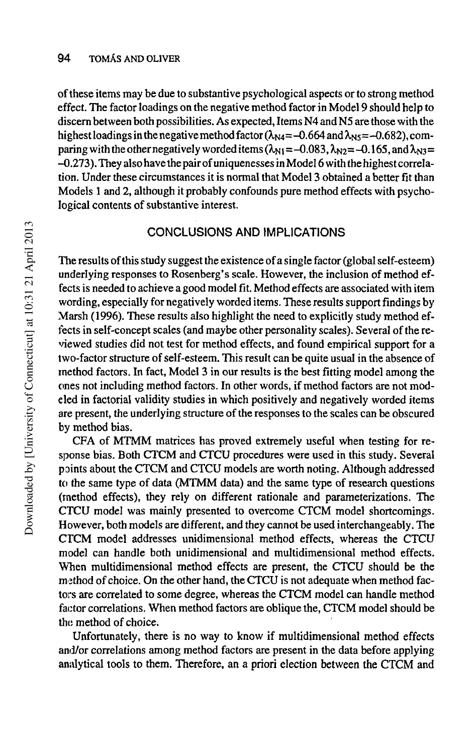of these items may be due to substantive psychological aspects or to strong method effect. The factor loadings on the negative method factor in Model 9 should help to discern between both possibilities. As expected, Items N4 and N5 are those with the highest loadings in the negative method factor  $(\lambda_{\text{N4}} = -0.664$  and  $\lambda_{\text{N5}} = -0.682$ ), comparing with the other negatively worded items  $(\lambda_{M1}=-0.083, \lambda_{M2}=-0.165, \text{and } \lambda_{M3}=$ -0.273). They also have the pair of uniquenesses in Model 6 with the highest correlation. Under these circumstances it is normal that Model 3 obtained a better fit than Models 1 and 2, although it probably confounds pure method effects with psychological contents of substantive interest.

## **CONCLUSIONS AND IMPLICATIONS**

The results of this study suggest the existence of a single factor (global self-esteem) underlying responses to Rosenberg's scale. However, the inclusion of method effects is needed to achieve a good model fit. Method effects are associated with item wording, especially for negatively worded items. These results support findings by Marsh (1996). These results also highlight the need to explicitly study method effects in self-concept scales (and maybe other personality scales). Several of the reviewed studies did not test for method effects, and found empirical support for a two-factor structure of self-esteem. This result can be quite usual in the absence of method factors. In fact, Model 3 in our results is the best fitting model among the ones not including method factors. In other words, if method factors are not modeled in factorial validity studies in which positively and negatively worded items are present, the underlying structure of the responses to the scales can be obscured by method bias.

CFA of MTMM matrices has proved extremely useful when testing for response bias. Both CTCM and CTCU procedures were used in this study. Several paints about the CTCM and CTCU models are worth noting. Although addressed to the same type of data (MTMM data) and the same type of research questions (method effects), they rely on different rationale and parameterizations. The CTCU model was mainly presented to overcome CTCM model shortcomings. However, both models are different, and they cannot be used interchangeably. The CTCM model addresses unidimensional method effects, whereas the CTCU model can handle both unidimensional and multidimensional method effects. When multidimensional method effects are present, the CTCU should be the method of choice. On the other hand, the CTCU is not adequate when method factors are correlated to some degree, whereas the CTCM model can handle method factor correlations. When method factors are oblique the, CTCM model should be the method of choice.

Unfortunately, there is no way to know if multidimensional method effects *ami/or* correlations among method factors are present in the data before applying analytical tools to them. Therefore, an a priori election between the CTCM and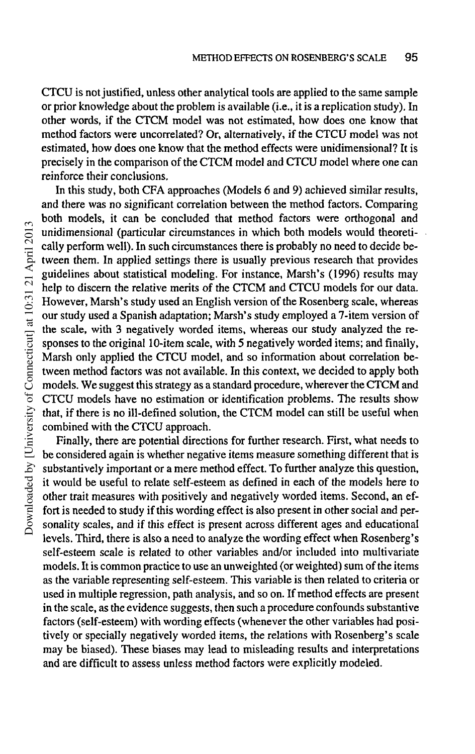CTCU is not justified, unless other analytical tools are applied to the same sample or prior knowledge about the problem is available (i.e., it is a replication study). In other words, if the CTCM model was not estimated, how does one know that method factors were uncorrelated? Or, alternatively, if the CTCU model was not estimated, how does one know that the method effects were unidimensional? It is precisely in the comparison of the CTCM model and CTCU model where one can reinforce their conclusions.

In this study, both CFA approaches (Models 6 and 9) achieved similar results, and there was no significant correlation between the method factors. Comparing both models, it can be concluded that method factors were orthogonal and unidimensional (particular circumstances in which both models would theoretically perform well). In such circumstances there is probably no need to decide between them. In applied settings there is usually previous research that provides guidelines about statistical modeling. For instance, Marsh's (1996) results may help to discern the relative merits of the CTCM and CTCU models for our data. However, Marsh's study used an English version of the Rosenberg scale, whereas our study used a Spanish adaptation; Marsh's study employed a 7-item version of the scale, with 3 negatively worded items, whereas our study analyzed the responses to the original 10-item scale, with 5 negatively worded items; and finally, Marsh only applied the CTCU model, and so information about correlation between method factors was not available. In this context, we decided to apply both models. We suggest this strategy as a standard procedure, wherever the CTCM and CTCU models have no estimation or identification problems. The results show that, if there is no ill-defined solution, the CTCM model can still be useful when combined with the CTCU approach.

Finally, there are potential directions for further research. First, what needs to be considered again is whether negative items measure something different that is substantively important or a mere method effect. To further analyze this question, it would be useful to relate self-esteem as defined in each of the models here to other trait measures with positively and negatively worded items. Second, an effort is needed to study if this wording effect is also present in other social and personality scales, and if this effect is present across different ages and educational levels. Third, there is also a need to analyze the wording effect when Rosenberg's self-esteem scale is related to other variables and/or included into multivariate models. It is common practice to use an unweighted (or weighted) sum of the items as the variable representing self-esteem. This variable is then related to criteria or used in multiple regression, path analysis, and so on. If method effects are present in the scale, as the evidence suggests, then such a procedure confounds substantive factors (self-esteem) with wording effects (whenever the other variables had positively or specially negatively worded items, the relations with Rosenberg's scale may be biased). These biases may lead to misleading results and interpretations and are difficult to assess unless method factors were explicitly modeled.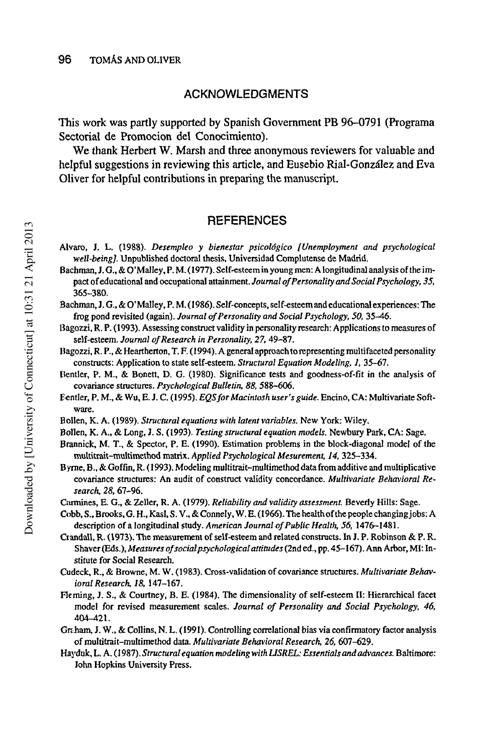#### **ACKNOWLEDGMENTS**

This work was partly supported by Spanish Government PB 96-0791 (Programa Sectorial de Promocion del Conocimiento).

We thank Herbert W. Marsh and three anonymous reviewers for valuable and helpful suggestions in reviewing this article, and Eusebio Rial-Gonzalez and Eva Oliver for helpful contributions in preparing the manuscript.

## REFERENCES

- Alvaro, J. L. (1988). *Desempleo y bienestar psicológico [Unemployment and psychological well-being].* Unpublished doctoral thesis, Universidad Complutense de Madrid.
- Bachman, J. G., & O'Malley, P. M. (1977). Self-esteem in young men: A longitudinal analysis of the impact of educational and occupational attainment. *Journal of Personality and Social Psychology, 35,* 365-380.
- Bachman, J. G., & O'Malley, P. M. (1986). Self-concepts, self-esteem and educational experiences: The frog pond revisited (again). *Journal of Personality and Social Psychology, 50,* 35-46.
- Bagozzi, R. P. (1993). Assessing construct validity in personality research: Applications to measures of self-esteem. *Journal of Research in Personality, 27,* 49-87.
- Bagozzi, R. P., & Heartherton, T. F. (1994). A general approach to representing multifaceted personality constructs: Application to state self-esteem. *Structural Equation Modeling, 1,* 35-67.
- Bentler, P. M., & Bonett, D. G. (1980). Significance tests and goodness-of-fit in the analysis of covariance structures. *Psychological Bulletin, 88,* 588-606.
- Bentler, P. M., & Wu, E. J. C. (1995). *EQS for Macintosh user's guide.* Encino, CA: Multivariate Software.
- Bollen, K. A. (1989). *Structural equations with latent variables.* New York: Wiley.
- Bollen, K. A., & Long, J. S. (1993). *Testing structural equation models.* Newbury Park, CA: Sage.
- Brannick, M. T., & Spector, P. E. (1990). Estimation problems in the block-diagonal model of the multitrait-multimethod matrix. *Applied Psychological Mesurement, 14,* 325-334.
- Byrne, B., & Goffin, R. ( 1993). Modeling multitrait-multimethod data from additive and multiplicative covariance structures: An audit of construct validity concordance. *Multivariate Behavioral Research, 28,* 67-96.
- Camines, E. G., & Zeller, R. A. (1979). *Reliability and validity assessment.* Beverly Hills: Sage.
- Cobb, S., Brooks, G. H., Kasl, S. V., & Connely, W. E. (1966). The health of the people changing jobs: A description of a longitudinal study. *American Journal of Public Health, 56,* 1476-1481.
- Crandall, R. (1973). The measurement of self-esteem and related constructs. In J. P. Robinson & P. R. Shaver (Eds.), *Measures of social psychological attitudes* (2nd ed., pp. 45-167). Ann Arbor, MI: Institute for Social Research.
- Cudeck, R., & Browne, M. W. (1983). Cross-validation of covariance structures. *Multivariate Behavioral Research, 18,* 147-167.
- Fleming, J. S., & Courtney, B. E. (1984). The dimensionality of self-esteem II: Hierarchical facet model for revised measurement scales. *Journal of Personality and Social Psychology, 46,* 404-421.
- Graham, J. W., & Collins, N. L. (1991). Controlling correlational bias via confirmatory factor analysis of multitrait-multimethod data. *Multivariate Behavioral Research, 26,* 607-629.
- Hayduk, L. A. (1987). *Structural equation modeling with L1SREL: Essentials and advances.* Baltimore: John Hopkins University Press.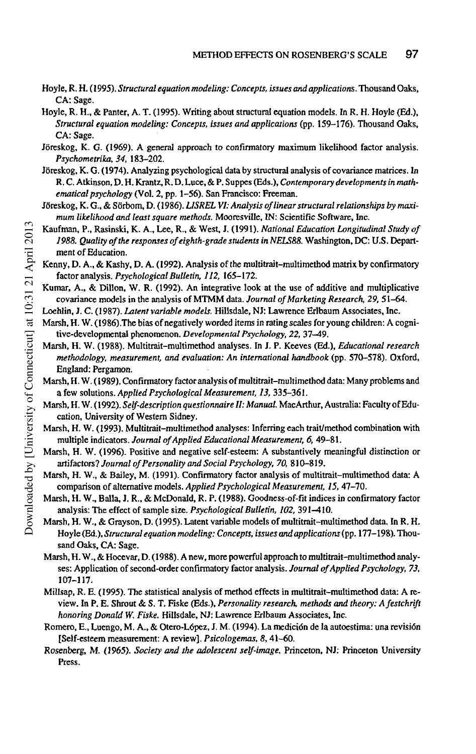- **Hoyle, R. H. (1995).** *Structural equation modeling: Concepts, issues and applications.* **Thousand Oaks,** CA: Sage.
- Hoyle, R. H., & Panter, A. T. (1995). Writing about structural equation models. In R. H. Hoyle (Ed.), *Structural equation modeling: Concepts, issues and applications* **(pp. 159-176). Thousand Oaks,** CA: Sage.
- Jöreskog, K. G. (1969). A general approach to confirmatory maximum likelihood factor analysis. *Psychometrika, 34,* **183-202.**
- Jöreskog, K. G. (1974). Analyzing psychological data by structural analysis of covariance matrices. In R. C. Atkinson, D. H. Krantz, R. D. Luce, & P. Suppes (Eds.), *Contemporary developments in mathematical psychology* (Vol. 2, pp. 1-56). San Francisco: Freeman.
- **Jöreskog, K. G., & Sörbom, D. (1986).** *LISREL VI: Analysis of linear structural relationships by maximum likelihood and least square methods.* Mooresville, IN: Scientific Software, Inc.
- Kaufman, P., Rasinski, K. A., Lee, R., & West, J. (1991). *National Education Longitudinal Study of 1988. Quality of the responses of eighth-grade students in NELS88.* **Washington, DC: U.S. Department** of Education.
- Kenny, D. A., & Kashy, D. A. (1992). Analysis of the multitrait-multimethod matrix by confirmatory **factor analysis.** *Psychological Bulletin, 112,* **165-172.**
- Kumar, A., & Dillon, W. R. (1992). An integrative look at the use of additive and multiplicative covariance models in the analysis of MTMM data. *Journal of Marketing Research, 29,* 51-64.
- Loehlin, J. C. (1987). *Latent variable models.* Hillsdale, NJ: Lawrence Erlbaum Associates, Inc.
- Marsh, H. W. (1986).The bias of negatively worded items in rating scales for young children: A cognitive-developmental **phenomenon.** *Developmental Psychology, 22,* **37-49.**
- Marsh, H. W. (1988). Multitrait-multimethod analyses. In J. P. Keeves (Ed.), *Educational research methodology, measurement, and evaluation: An international handbook* **(pp. 570-578). Oxford,** England: Pergamon.
- Marsh, H. W. (1989). Confirmatory factor analysis of multitrait-multimethod data: Many problems and **a few solutions.** *Applied Psychological Measurement, 13,* **335-361.**
- Marsh, H. W. (1992). *Self-description questionnaire II: Manual.* MacArthur, Australia: Faculty of Education, University of Western Sidney.
- Marsh, H. W. (1993). Multitrait-multimethod analyses: Inferring each trait/method combination with **multiple indicators.** *Journal of Applied Educational Measurement, 6,* **49-81.**
- Marsh, H. W. (1996). Positive and negative self-esteem: A substantively meaningful distinction or **artifactors?** *Journal of Personality and Social Psychology, 70,* **810-819.**
- Marsh, H. W., & Bailey, M. (1991). Confirmatory factor analysis of multitrait-multimethod data: A comparison of alternative models. *Applied Psychological Measurement, 15,* 47-70.
- Marsh, H. W., Balla, J. R., & McDonald, R. P. (1988). Goodness-of-fit indices in confirmatory factor analysis: The effect of sample size. *Psychological Bulletin, 102,* 391-410.
- Marsh, H. W., & Grayson, D. (1995). Latent variable models of multitrait-multimethod data. In R. H. **Hoyle (Ed.)***, Structuralequationmodeling: Concepts, issues and applications* **(pp. 177-198). Thousand** Oaks, CA: Sage.
- Marsh, H. W., & Hocevar, D. (1988). A new, more powerful approach to multitrait-multimethod analyses: Application of second-order confirmatory factor analysis. *Journal of Applied Psychology, 73,* 107-117.
- Millsap, R. E. (1995). The statistical analysis of method effects in multitrait-multimethod data: A review. **In P. E. Shrout & S. T. Fiske (Eds.),** *Personality research, methods and theory: Afestchrift honoring Donald W. Fiske.* Hillsdale, NJ: Lawrence Erlbaum Associates, Inc.
- Romero, E., Luengo, M. A., & Otero-López, J. M. (1994). La medición de la autoestima: una revisión [Self-esteem measurement: A review]. *Psicologemas, 8,* 41-60.
- Rosenberg, M. (1965). *Society and the adolescent self-image.* Princeton, NJ: Princeton University Press.